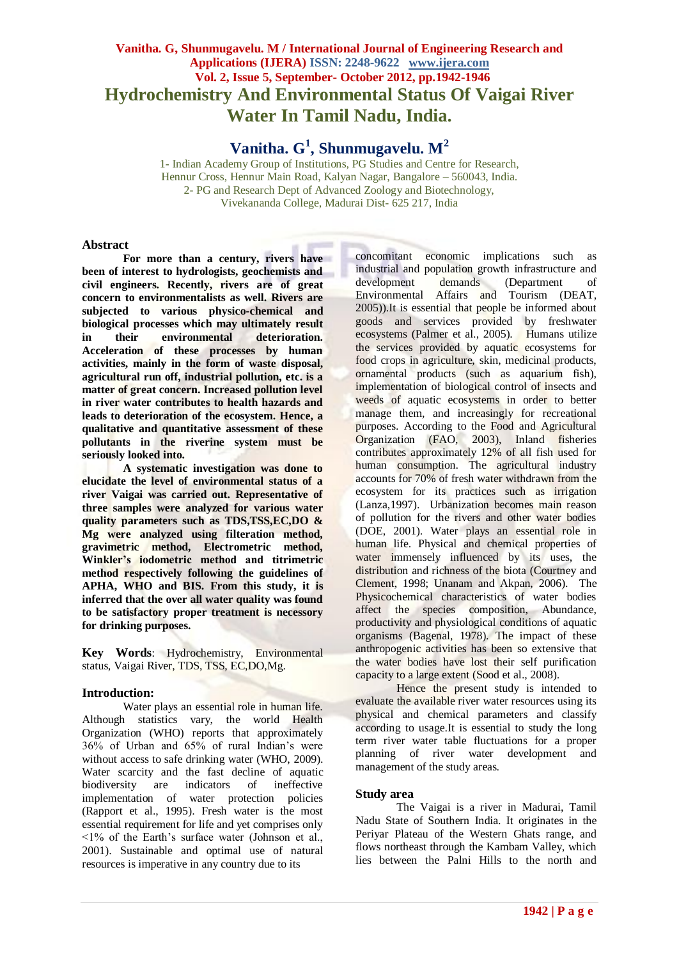# **Vanitha. G, Shunmugavelu. M / International Journal of Engineering Research and Applications (IJERA) ISSN: 2248-9622 www.ijera.com Vol. 2, Issue 5, September- October 2012, pp.1942-1946 Hydrochemistry And Environmental Status Of Vaigai River Water In Tamil Nadu, India.**

**Vanitha. G<sup>1</sup> , Shunmugavelu. M<sup>2</sup>**

1- Indian Academy Group of Institutions, PG Studies and Centre for Research, Hennur Cross, Hennur Main Road, Kalyan Nagar, Bangalore – 560043, India. 2- PG and Research Dept of Advanced Zoology and Biotechnology, Vivekananda College, Madurai Dist- 625 217, India

## **Abstract**

**For more than a century, rivers have been of interest to hydrologists, geochemists and civil engineers. Recently, rivers are of great concern to environmentalists as well. Rivers are subjected to various physico-chemical and biological processes which may ultimately result in their environmental deterioration. Acceleration of these processes by human activities, mainly in the form of waste disposal, agricultural run off, industrial pollution, etc. is a matter of great concern. Increased pollution level in river water contributes to health hazards and leads to deterioration of the ecosystem. Hence, a qualitative and quantitative assessment of these pollutants in the riverine system must be seriously looked into.**

**A systematic investigation was done to elucidate the level of environmental status of a river Vaigai was carried out. Representative of three samples were analyzed for various water quality parameters such as TDS,TSS,EC,DO & Mg were analyzed using filteration method, gravimetric method, Electrometric method, Winkler's iodometric method and titrimetric method respectively following the guidelines of APHA, WHO and BIS. From this study, it is inferred that the over all water quality was found to be satisfactory proper treatment is necessory for drinking purposes.**

**Key Words**: Hydrochemistry, Environmental status, Vaigai River, TDS, TSS, EC,DO,Mg.

# **Introduction:**

Water plays an essential role in human life. Although statistics vary, the world Health Organization (WHO) reports that approximately 36% of Urban and 65% of rural Indian's were without access to safe drinking water (WHO, 2009). Water scarcity and the fast decline of aquatic biodiversity are indicators of ineffective implementation of water protection policies (Rapport et al., 1995). Fresh water is the most essential requirement for life and yet comprises only  $\leq$ 1% of the Earth's surface water (Johnson et al., 2001). Sustainable and optimal use of natural resources is imperative in any country due to its

concomitant economic implications such as industrial and population growth infrastructure and development demands (Department of Environmental Affairs and Tourism (DEAT, 2005)).It is essential that people be informed about goods and services provided by freshwater ecosystems (Palmer et al., 2005). Humans utilize the services provided by aquatic ecosystems for food crops in agriculture, skin, medicinal products, ornamental products (such as aquarium fish), implementation of biological control of insects and weeds of aquatic ecosystems in order to better manage them, and increasingly for recreational purposes. According to the Food and Agricultural Organization (FAO, 2003), Inland fisheries contributes approximately 12% of all fish used for human consumption. The agricultural industry accounts for 70% of fresh water withdrawn from the ecosystem for its practices such as irrigation (Lanza,1997). Urbanization becomes main reason of pollution for the rivers and other water bodies (DOE, 2001). Water plays an essential role in human life. Physical and chemical properties of water immensely influenced by its uses, the distribution and richness of the biota (Courtney and Clement, 1998; Unanam and Akpan, 2006). The Physicochemical characteristics of water bodies affect the species composition, Abundance, productivity and physiological conditions of aquatic organisms (Bagenal, 1978). The impact of these anthropogenic activities has been so extensive that the water bodies have lost their self purification capacity to a large extent (Sood et al., 2008).

Hence the present study is intended to evaluate the available river water resources using its physical and chemical parameters and classify according to usage.It is essential to study the long term river water table fluctuations for a proper planning of river water development and management of the study areas.

#### **Study area**

The Vaigai is a river in Madurai, Tamil Nadu State of Southern India. It originates in the Periyar Plateau of the Western Ghats range, and flows northeast through the Kambam Valley, which lies between the Palni Hills to the north and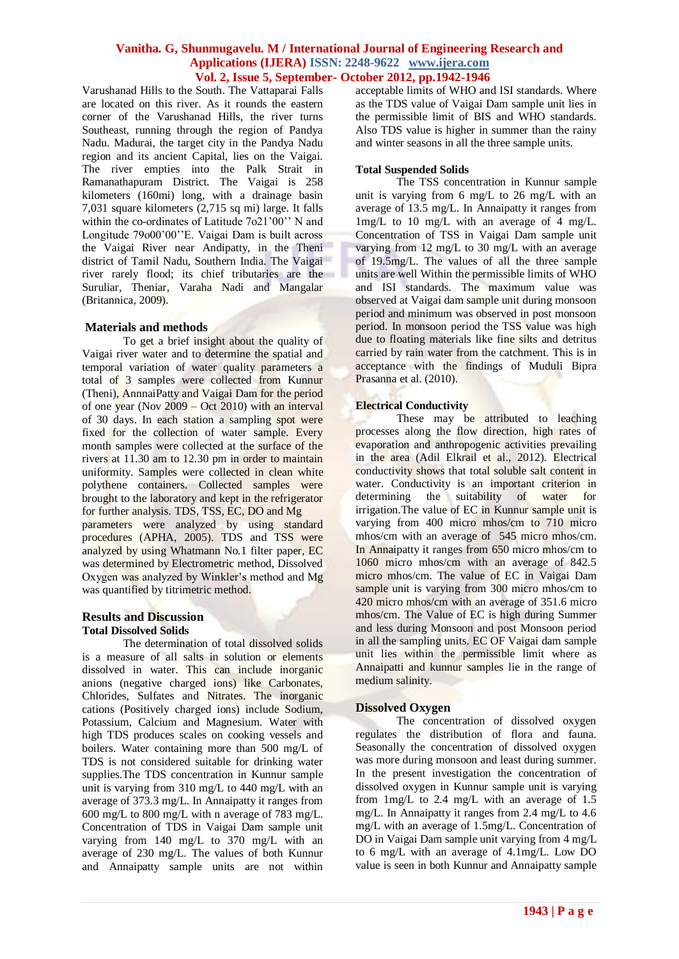Varushanad Hills to the South. The Vattaparai Falls are located on this river. As it rounds the eastern corner of the Varushanad Hills, the river turns Southeast, running through the region of Pandya Nadu. Madurai, the target city in the Pandya Nadu region and its ancient Capital, lies on the Vaigai. The river empties into the Palk Strait in Ramanathapuram District. The Vaigai is 258 kilometers (160mi) long, with a drainage basin 7,031 square kilometers (2,715 sq mi) large. It falls within the co-ordinates of Latitude 7o21'00" N and Longitude 79o00'00''E. Vaigai Dam is built across the Vaigai River near Andipatty, in the Theni district of Tamil Nadu, Southern India. The Vaigai river rarely flood; its chief tributaries are the Suruliar, Theniar, Varaha Nadi and Mangalar (Britannica, 2009).

#### **Materials and methods**

To get a brief insight about the quality of Vaigai river water and to determine the spatial and temporal variation of water quality parameters a total of 3 samples were collected from Kunnur (Theni), AnnnaiPatty and Vaigai Dam for the period of one year (Nov 2009 – Oct 2010) with an interval of 30 days. In each station a sampling spot were fixed for the collection of water sample. Every month samples were collected at the surface of the rivers at 11.30 am to 12.30 pm in order to maintain uniformity. Samples were collected in clean white polythene containers. Collected samples were brought to the laboratory and kept in the refrigerator for further analysis. TDS, TSS, EC, DO and Mg parameters were analyzed by using standard procedures (APHA, 2005). TDS and TSS were analyzed by using Whatmann No.1 filter paper, EC was determined by Electrometric method, Dissolved Oxygen was analyzed by Winkler's method and Mg was quantified by titrimetric method.

# **Results and Discussion Total Dissolved Solids**

The determination of total dissolved solids is a measure of all salts in solution or elements dissolved in water. This can include inorganic anions (negative charged ions) like Carbonates, Chlorides, Sulfates and Nitrates. The inorganic cations (Positively charged ions) include Sodium, Potassium, Calcium and Magnesium. Water with high TDS produces scales on cooking vessels and boilers. Water containing more than 500 mg/L of TDS is not considered suitable for drinking water supplies.The TDS concentration in Kunnur sample unit is varying from 310 mg/L to 440 mg/L with an average of 373.3 mg/L. In Annaipatty it ranges from 600 mg/L to 800 mg/L with n average of 783 mg/L. Concentration of TDS in Vaigai Dam sample unit varying from 140 mg/L to 370 mg/L with an average of 230 mg/L. The values of both Kunnur and Annaipatty sample units are not within acceptable limits of WHO and ISI standards. Where as the TDS value of Vaigai Dam sample unit lies in the permissible limit of BIS and WHO standards. Also TDS value is higher in summer than the rainy and winter seasons in all the three sample units.

## **Total Suspended Solids**

The TSS concentration in Kunnur sample unit is varying from 6 mg/L to 26 mg/L with an average of 13.5 mg/L. In Annaipatty it ranges from 1mg/L to 10 mg/L with an average of 4 mg/L. Concentration of TSS in Vaigai Dam sample unit varying from 12 mg/L to 30 mg/L with an average of 19.5mg/L. The values of all the three sample units are well Within the permissible limits of WHO and ISI standards. The maximum value was observed at Vaigai dam sample unit during monsoon period and minimum was observed in post monsoon period. In monsoon period the TSS value was high due to floating materials like fine silts and detritus carried by rain water from the catchment. This is in acceptance with the findings of Muduli Bipra Prasanna et al. (2010).

# **Electrical Conductivity**

These may be attributed to leaching processes along the flow direction, high rates of evaporation and anthropogenic activities prevailing in the area (Adil Elkrail et al., 2012). Electrical conductivity shows that total soluble salt content in water. Conductivity is an important criterion in determining the suitability of water for irrigation.The value of EC in Kunnur sample unit is varying from 400 micro mhos/cm to 710 micro mhos/cm with an average of 545 micro mhos/cm. In Annaipatty it ranges from 650 micro mhos/cm to 1060 micro mhos/cm with an average of 842.5 micro mhos/cm. The value of EC in Vaigai Dam sample unit is varying from 300 micro mhos/cm to 420 micro mhos/cm with an average of 351.6 micro mhos/cm. The Value of EC is high during Summer and less during Monsoon and post Monsoon period in all the sampling units. EC OF Vaigai dam sample unit lies within the permissible limit where as Annaipatti and kunnur samples lie in the range of medium salinity.

# **Dissolved Oxygen**

The concentration of dissolved oxygen regulates the distribution of flora and fauna. Seasonally the concentration of dissolved oxygen was more during monsoon and least during summer. In the present investigation the concentration of dissolved oxygen in Kunnur sample unit is varying from 1mg/L to 2.4 mg/L with an average of 1.5 mg/L. In Annaipatty it ranges from 2.4 mg/L to 4.6 mg/L with an average of 1.5mg/L. Concentration of DO in Vaigai Dam sample unit varying from 4 mg/L to 6 mg/L with an average of 4.1mg/L. Low DO value is seen in both Kunnur and Annaipatty sample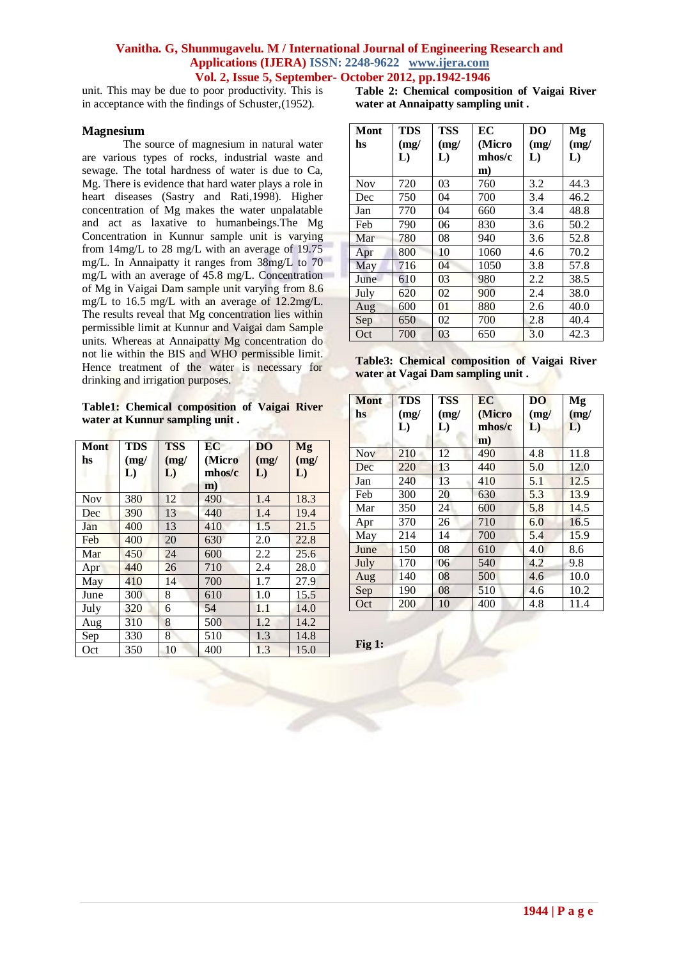unit. This may be due to poor productivity. This is in acceptance with the findings of Schuster,(1952).

### **Magnesium**

The source of magnesium in natural water are various types of rocks, industrial waste and sewage. The total hardness of water is due to Ca, Mg. There is evidence that hard water plays a role in heart diseases (Sastry and Rati,1998). Higher concentration of Mg makes the water unpalatable and act as laxative to humanbeings.The Mg Concentration in Kunnur sample unit is varying from 14mg/L to 28 mg/L with an average of 19.75 mg/L. In Annaipatty it ranges from 38mg/L to 70 mg/L with an average of 45.8 mg/L. Concentration of Mg in Vaigai Dam sample unit varying from 8.6 mg/L to 16.5 mg/L with an average of 12.2mg/L. The results reveal that Mg concentration lies within permissible limit at Kunnur and Vaigai dam Sample units. Whereas at Annaipatty Mg concentration do not lie within the BIS and WHO permissible limit. Hence treatment of the water is necessary for drinking and irrigation purposes.

**Table1: Chemical composition of Vaigai River water at Kunnur sampling unit .**

| Mont<br>hs | <b>TDS</b><br>(mg)<br>L) | <b>TSS</b><br>(mg)<br>L) | EC<br>(Micro<br>mhos/c<br>$\mathbf{m}$ | D <sub>O</sub><br>(mg)<br>L) | Mg<br>(mg)<br>L) |
|------------|--------------------------|--------------------------|----------------------------------------|------------------------------|------------------|
| <b>Nov</b> | 380                      | 12                       | 490                                    | 1.4                          | 18.3             |
| Dec        | 390                      | 13                       | 440                                    | 1.4                          | 19.4             |
| Jan        | 400                      | 13                       | 410                                    | 1.5                          | 21.5             |
| Feb        | 400                      | 20                       | 630                                    | 2.0                          | 22.8             |
| Mar        | 450                      | 24                       | 600                                    | 2.2                          | 25.6             |
| Apr        | 440                      | 26                       | 710                                    | 2.4                          | 28.0             |
| May        | 410                      | 14                       | 700                                    | 1.7                          | 27.9             |
| June       | 300                      | 8                        | 610                                    | 1.0                          | 15.5             |
| July       | 320                      | 6                        | 54                                     | 1.1                          | 14.0             |
| Aug        | 310                      | 8                        | 500                                    | 1.2                          | 14.2             |
| Sep        | 330                      | 8                        | 510                                    | 1.3                          | 14.8             |
| Oct        | 350                      | 10                       | 400                                    | 1.3                          | 15.0             |

**Table 2: Chemical composition of Vaigai River water at Annaipatty sampling unit .**

| Mont<br>hs | <b>TDS</b><br>(mg) | <b>TSS</b><br>(mg) | EC<br>(Micro | DO<br>(mg) | Mg<br>(mg) |
|------------|--------------------|--------------------|--------------|------------|------------|
|            | L)                 | L)                 | mhos/c       | L)         | L)         |
|            |                    |                    | m)           |            |            |
| <b>Nov</b> | 720                | 03                 | 760          | 3.2        | 44.3       |
| Dec        | 750                | 04                 | 700          | 3.4        | 46.2       |
| Jan        | 770                | 04                 | 660          | 3.4        | 48.8       |
| Feb        | 790                | 06                 | 830          | 3.6        | 50.2       |
| Mar        | 780                | 08                 | 940          | 3.6        | 52.8       |
| Apr        | 800                | 10                 | 1060         | 4.6        | 70.2       |
| May        | 716                | 04                 | 1050         | 3.8        | 57.8       |
| June       | 610                | 03                 | 980          | 2.2        | 38.5       |
| July       | 620                | 02                 | 900          | 2.4        | 38.0       |
| Aug        | 600                | 01                 | 880          | 2.6        | 40.0       |
| Sep        | 650                | 02                 | 700          | 2.8        | 40.4       |
| Oct        | 700                | 03                 | 650          | 3.0        | 42.3       |

**Table3: Chemical composition of Vaigai River water at Vagai Dam sampling unit .**

| <b>Mont</b><br>hs | <b>TDS</b><br>(mg)<br>L) | <b>TSS</b><br>(mg)<br>L) | EC<br>(Micro<br>mhos/c<br>$\mathbf{m}$ ) | D <sub>O</sub><br>(mg)<br>L) | Mg<br>(mg)<br>L) |
|-------------------|--------------------------|--------------------------|------------------------------------------|------------------------------|------------------|
| <b>Nov</b>        | 210                      | 12                       | 490                                      | 4.8                          | 11.8             |
| Dec               | 220                      | 13                       | 440                                      | 5.0                          | 12.0             |
| Jan               | 240                      | 13                       | 410                                      | 5.1                          | 12.5             |
| Feb               | 300                      | 20                       | 630                                      | 5.3                          | 13.9             |
| Mar               | 350                      | 24                       | 600                                      | 5.8                          | 14.5             |
| Apr               | 370                      | 26                       | 710                                      | 6.0                          | 16.5             |
| May               | 214                      | 14                       | 700                                      | 5.4                          | 15.9             |
| June              | 150                      | 08                       | 610                                      | 4.0                          | 8.6              |
| July              | 170                      | 06                       | 540                                      | 4.2                          | 9.8              |
| Aug               | 140                      | 08                       | 500                                      | 4.6                          | 10.0             |
| Sep               | 190                      | 08                       | 510                                      | 4.6                          | 10.2             |
| Oct               | 200                      | 10                       | 400                                      | 4.8                          | 11.4             |

**Fig 1:**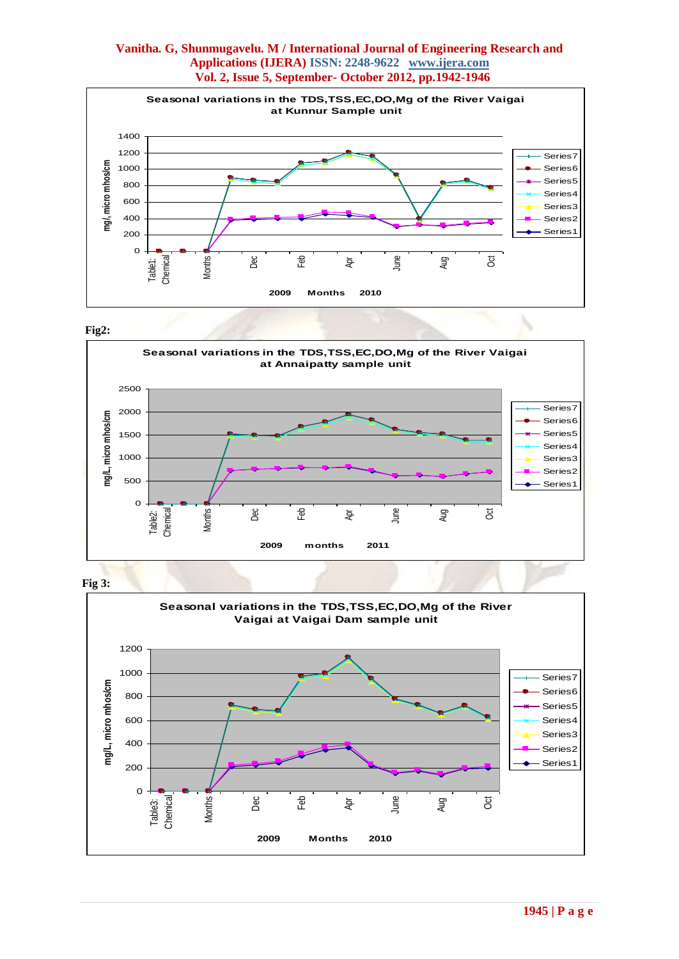

#### **Fig2:**